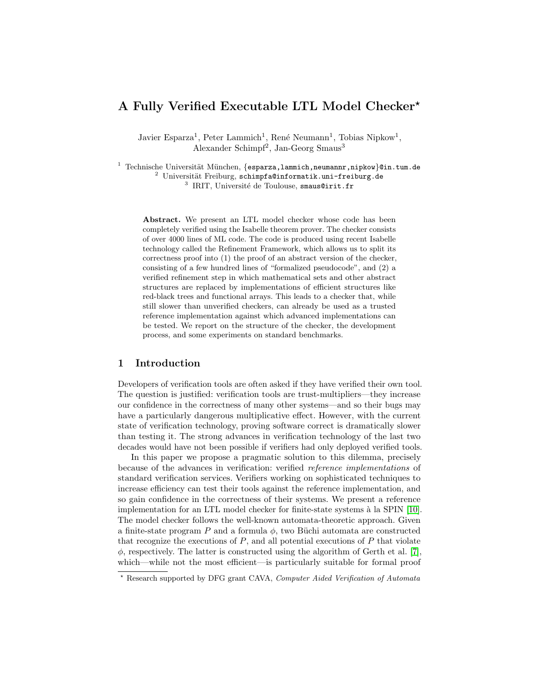# A Fully Verified Executable LTL Model Checker<sup>\*</sup>

Javier Esparza<sup>1</sup>, Peter Lammich<sup>1</sup>, René Neumann<sup>1</sup>, Tobias Nipkow<sup>1</sup>, Alexander Schimpf<sup>2</sup>, Jan-Georg Smaus<sup>3</sup>

<sup>1</sup> Technische Universität München, {esparza,lammich,neumannr,nipkow}@in.tum.de  $2$  Universität Freiburg, schimpfa@informatik.uni-freiburg.de <sup>3</sup> IRIT, Université de Toulouse, smaus@irit.fr

Abstract. We present an LTL model checker whose code has been completely verified using the Isabelle theorem prover. The checker consists of over 4000 lines of ML code. The code is produced using recent Isabelle technology called the Refinement Framework, which allows us to split its correctness proof into (1) the proof of an abstract version of the checker, consisting of a few hundred lines of "formalized pseudocode", and (2) a verified refinement step in which mathematical sets and other abstract structures are replaced by implementations of efficient structures like red-black trees and functional arrays. This leads to a checker that, while still slower than unverified checkers, can already be used as a trusted reference implementation against which advanced implementations can be tested. We report on the structure of the checker, the development process, and some experiments on standard benchmarks.

# 1 Introduction

Developers of verification tools are often asked if they have verified their own tool. The question is justified: verification tools are trust-multipliers—they increase our confidence in the correctness of many other systems—and so their bugs may have a particularly dangerous multiplicative effect. However, with the current state of verification technology, proving software correct is dramatically slower than testing it. The strong advances in verification technology of the last two decades would have not been possible if verifiers had only deployed verified tools.

In this paper we propose a pragmatic solution to this dilemma, precisely because of the advances in verification: verified reference implementations of standard verification services. Verifiers working on sophisticated techniques to increase efficiency can test their tools against the reference implementation, and so gain confidence in the correctness of their systems. We present a reference implementation for an LTL model checker for finite-state systems à la SPIN [\[10\]](#page-15-0). The model checker follows the well-known automata-theoretic approach. Given a finite-state program P and a formula  $\phi$ , two Büchi automata are constructed that recognize the executions of  $P$ , and all potential executions of  $P$  that violate  $\phi$ , respectively. The latter is constructed using the algorithm of Gerth et al. [\[7\]](#page-15-1), which—while not the most efficient—is particularly suitable for formal proof

<sup>?</sup> Research supported by DFG grant CAVA, Computer Aided Verification of Automata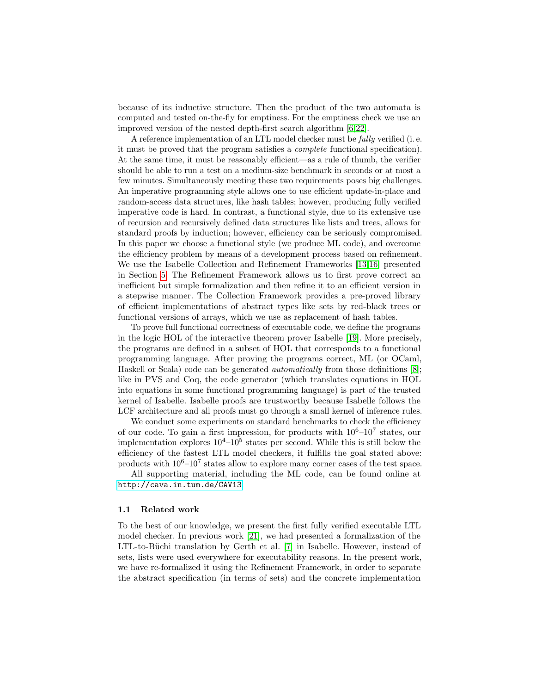because of its inductive structure. Then the product of the two automata is computed and tested on-the-fly for emptiness. For the emptiness check we use an improved version of the nested depth-first search algorithm [\[6,](#page-15-2)[22\]](#page-15-3).

A reference implementation of an LTL model checker must be fully verified (i. e. it must be proved that the program satisfies a complete functional specification). At the same time, it must be reasonably efficient—as a rule of thumb, the verifier should be able to run a test on a medium-size benchmark in seconds or at most a few minutes. Simultaneously meeting these two requirements poses big challenges. An imperative programming style allows one to use efficient update-in-place and random-access data structures, like hash tables; however, producing fully verified imperative code is hard. In contrast, a functional style, due to its extensive use of recursion and recursively defined data structures like lists and trees, allows for standard proofs by induction; however, efficiency can be seriously compromised. In this paper we choose a functional style (we produce ML code), and overcome the efficiency problem by means of a development process based on refinement. We use the Isabelle Collection and Refinement Frameworks [\[13,](#page-15-4)[16\]](#page-15-5) presented in Section [5.](#page-8-0) The Refinement Framework allows us to first prove correct an inefficient but simple formalization and then refine it to an efficient version in a stepwise manner. The Collection Framework provides a pre-proved library of efficient implementations of abstract types like sets by red-black trees or functional versions of arrays, which we use as replacement of hash tables.

To prove full functional correctness of executable code, we define the programs in the logic HOL of the interactive theorem prover Isabelle [\[19\]](#page-15-6). More precisely, the programs are defined in a subset of HOL that corresponds to a functional programming language. After proving the programs correct, ML (or OCaml, Haskell or Scala) code can be generated automatically from those definitions [\[8\]](#page-15-7); like in PVS and Coq, the code generator (which translates equations in HOL into equations in some functional programming language) is part of the trusted kernel of Isabelle. Isabelle proofs are trustworthy because Isabelle follows the LCF architecture and all proofs must go through a small kernel of inference rules.

We conduct some experiments on standard benchmarks to check the efficiency of our code. To gain a first impression, for products with  $10^6-10^7$  states, our implementation explores  $10^4$ - $10^5$  states per second. While this is still below the efficiency of the fastest LTL model checkers, it fulfills the goal stated above: products with  $10^6$ - $10^7$  states allow to explore many corner cases of the test space.

All supporting material, including the ML code, can be found online at <http://cava.in.tum.de/CAV13>.

## 1.1 Related work

To the best of our knowledge, we present the first fully verified executable LTL model checker. In previous work [\[21\]](#page-15-8), we had presented a formalization of the LTL-to-Büchi translation by Gerth et al. [\[7\]](#page-15-1) in Isabelle. However, instead of sets, lists were used everywhere for executability reasons. In the present work, we have re-formalized it using the Refinement Framework, in order to separate the abstract specification (in terms of sets) and the concrete implementation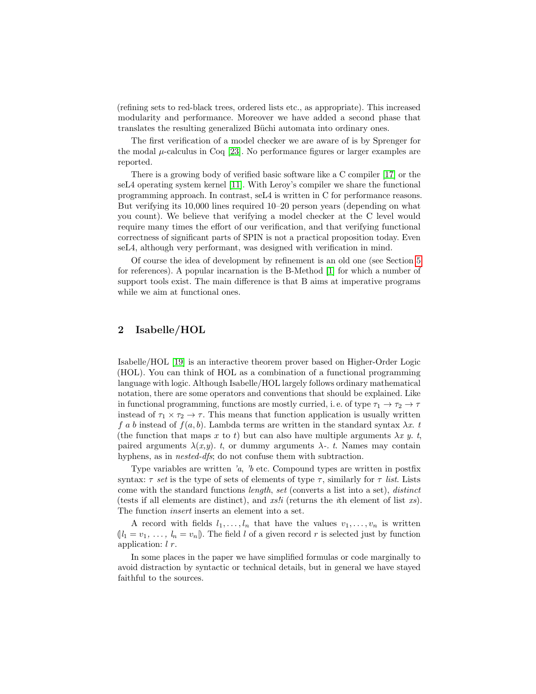(refining sets to red-black trees, ordered lists etc., as appropriate). This increased modularity and performance. Moreover we have added a second phase that translates the resulting generalized Büchi automata into ordinary ones.

The first verification of a model checker we are aware of is by Sprenger for the modal  $\mu$ -calculus in Coq [\[23\]](#page-15-9). No performance figures or larger examples are reported.

There is a growing body of verified basic software like a C compiler [\[17\]](#page-15-10) or the seL4 operating system kernel [\[11\]](#page-15-11). With Leroy's compiler we share the functional programming approach. In contrast, seL4 is written in C for performance reasons. But verifying its 10,000 lines required 10–20 person years (depending on what you count). We believe that verifying a model checker at the C level would require many times the effort of our verification, and that verifying functional correctness of significant parts of SPIN is not a practical proposition today. Even seL4, although very performant, was designed with verification in mind.

Of course the idea of development by refinement is an old one (see Section [5](#page-8-0) for references). A popular incarnation is the B-Method [\[1\]](#page-14-0) for which a number of support tools exist. The main difference is that B aims at imperative programs while we aim at functional ones.

# 2 Isabelle/HOL

Isabelle/HOL [\[19\]](#page-15-6) is an interactive theorem prover based on Higher-Order Logic (HOL). You can think of HOL as a combination of a functional programming language with logic. Although Isabelle/HOL largely follows ordinary mathematical notation, there are some operators and conventions that should be explained. Like in functional programming, functions are mostly curried, i.e. of type  $\tau_1 \to \tau_2 \to \tau$ instead of  $\tau_1 \times \tau_2 \to \tau$ . This means that function application is usually written f a b instead of  $f(a, b)$ . Lambda terms are written in the standard syntax  $\lambda x$ . t (the function that maps x to t) but can also have multiple arguments  $\lambda x y$ . t, paired arguments  $\lambda(x,y)$ . t, or dummy arguments  $\lambda$ -. t. Names may contain hyphens, as in *nested-dfs*; do not confuse them with subtraction.

Type variables are written 'a, 'b etc. Compound types are written in postfix syntax:  $\tau$  set is the type of sets of elements of type  $\tau$ , similarly for  $\tau$  list. Lists come with the standard functions length, set (converts a list into a set), distinct (tests if all elements are distinct), and  $rsli$  (returns the *i*th element of list  $xs$ ). The function insert inserts an element into a set.

A record with fields  $l_1, \ldots, l_n$  that have the values  $v_1, \ldots, v_n$  is written  $(l_1 = v_1, \ldots, l_n = v_n)$ . The field l of a given record r is selected just by function application:  $l r$ .

In some places in the paper we have simplified formulas or code marginally to avoid distraction by syntactic or technical details, but in general we have stayed faithful to the sources.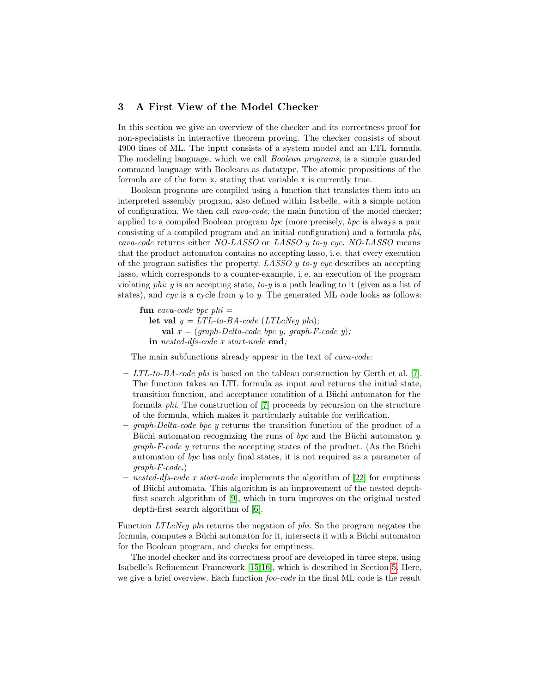# <span id="page-3-0"></span>3 A First View of the Model Checker

In this section we give an overview of the checker and its correctness proof for non-specialists in interactive theorem proving. The checker consists of about 4900 lines of ML. The input consists of a system model and an LTL formula. The modeling language, which we call Boolean programs, is a simple guarded command language with Booleans as datatype. The atomic propositions of the formula are of the form x, stating that variable x is currently true.

Boolean programs are compiled using a function that translates them into an interpreted assembly program, also defined within Isabelle, with a simple notion of configuration. We then call cava-code, the main function of the model checker; applied to a compiled Boolean program  $bpc$  (more precisely,  $bpc$  is always a pair consisting of a compiled program and an initial configuration) and a formula phi, cava-code returns either NO-LASSO or LASSO y to-y cyc. NO-LASSO means that the product automaton contains no accepting lasso, i. e. that every execution of the program satisfies the property. LASSO y to-y cyc describes an accepting lasso, which corresponds to a counter-example, i. e. an execution of the program violating *phi*: *y* is an accepting state, *to-y* is a path leading to it (given as a list of states), and cyc is a cycle from  $y$  to  $y$ . The generated ML code looks as follows:

```
fun cava-code bpc phi =let val y = LTL-to-BA-code (LTLCNeg phi);val x = (graph-Delta-code bpc y, graph-F-code y);in nested-dfs-code x start-node end;
```
The main subfunctions already appear in the text of cava-code:

- $-LTL-to-BA-code phi$  is based on the tableau construction by Gerth et al. [\[7\]](#page-15-1). The function takes an LTL formula as input and returns the initial state, transition function, and acceptance condition of a Büchi automaton for the formula phi. The construction of [\[7\]](#page-15-1) proceeds by recursion on the structure of the formula, which makes it particularly suitable for verification.
- graph-Delta-code bpc y returns the transition function of the product of a Büchi automaton recognizing the runs of  $bpc$  and the Büchi automaton y.  $graph-F-code$  y returns the accepting states of the product. (As the Büchi automaton of bpc has only final states, it is not required as a parameter of graph-F-code.)
- $-$  nested-dfs-code x start-node implements the algorithm of [\[22\]](#page-15-3) for emptiness of Büchi automata. This algorithm is an improvement of the nested depthfirst search algorithm of [\[9\]](#page-15-12), which in turn improves on the original nested depth-first search algorithm of [\[6\]](#page-15-2).

Function LTLcNeg phi returns the negation of phi. So the program negates the formula, computes a Büchi automaton for it, intersects it with a Büchi automaton for the Boolean program, and checks for emptiness.

The model checker and its correctness proof are developed in three steps, using Isabelle's Refinement Framework [\[15,](#page-15-13)[16\]](#page-15-5), which is described in Section [5.](#page-8-0) Here, we give a brief overview. Each function *foo-code* in the final ML code is the result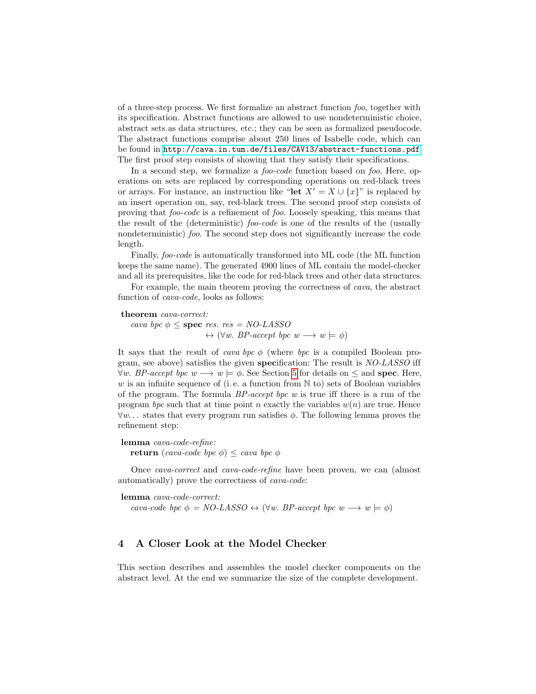of a three-step process. We first formalize an abstract function foo, together with its specification. Abstract functions are allowed to use nondeterministic choice, abstract sets as data structures, etc.; they can be seen as formalized pseudocode. The abstract functions comprise about 250 lines of Isabelle code, which can be found in <http://cava.in.tum.de/files/CAV13/abstract-functions.pdf>. The first proof step consists of showing that they satisfy their specifications.

In a second step, we formalize a foo-code function based on foo. Here, operations on sets are replaced by corresponding operations on red-black trees or arrays. For instance, an instruction like "let  $X' = X \cup \{x\}$ " is replaced by an insert operation on, say, red-black trees. The second proof step consists of proving that foo-code is a refinement of foo. Loosely speaking, this means that the result of the (deterministic) foo-code is one of the results of the (usually nondeterministic) foo. The second step does not significantly increase the code length.

Finally, foo-code is automatically transformed into ML code (the ML function keeps the same name). The generated 4900 lines of ML contain the model-checker and all its prerequisites, like the code for red-black trees and other data structures.

For example, the main theorem proving the correctness of cava, the abstract function of cava-code, looks as follows:

#### theorem cava-correct:

cava bpc  $\phi \leq$  spec res. res = NO-LASSO  $\leftrightarrow (\forall w. \ BP\text{-}accept \ bpc \ w \longrightarrow w \models \phi)$ 

It says that the result of cava bpc  $\phi$  (where bpc is a compiled Boolean program, see above) satisfies the given specification: The result is NO-LASSO iff  $\forall w. BP\text{-}accept\;bp\text{-}w \longrightarrow w \models \phi.$  See Section [5](#page-8-0) for details on  $\leq$  and spec. Here, w is an infinite sequence of (i.e. a function from  $\mathbb N$  to) sets of Boolean variables of the program. The formula  $BP\text{-}accept\;bp\;w$  is true iff there is a run of the program bpc such that at time point n exactly the variables  $w(n)$  are true. Hence  $\forall w$ ... states that every program run satisfies  $\phi$ . The following lemma proves the refinement step:

#### lemma cava-code-refine:

return (cava-code bpc  $\phi$ )  $\leq$  cava bpc  $\phi$ 

Once cava-correct and cava-code-refine have been proven, we can (almost automatically) prove the correctness of cava-code:

lemma cava-code-correct: cava-code bpc  $\phi = NO\text{-}LASSO \leftrightarrow (\forall w. BP\text{-}accept~bpc~w \longrightarrow w \models \phi)$ 

# 4 A Closer Look at the Model Checker

This section describes and assembles the model checker components on the abstract level. At the end we summarize the size of the complete development.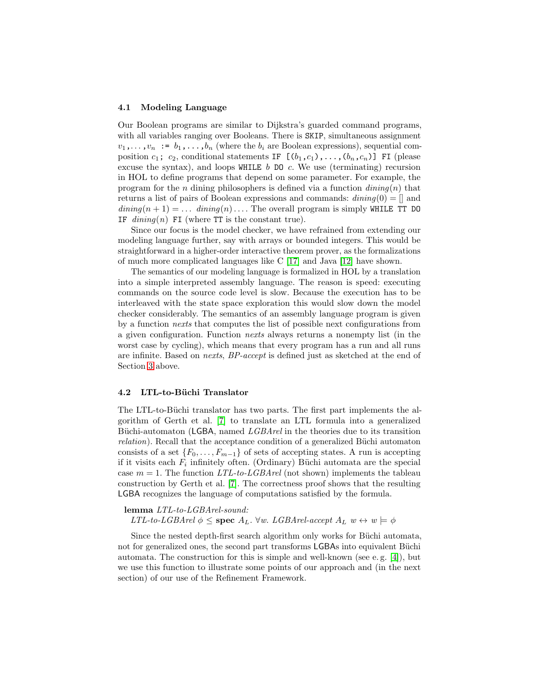#### 4.1 Modeling Language

Our Boolean programs are similar to Dijkstra's guarded command programs, with all variables ranging over Booleans. There is SKIP, simultaneous assignment  $v_1,\ldots,v_n := b_1,\ldots,b_n$  (where the  $b_i$  are Boolean expressions), sequential composition  $c_1$ ;  $c_2$ , conditional statements IF  $[(b_1,c_1),\ldots,(b_n,c_n)]$  FI (please excuse the syntax), and loops WHILE  $b$  DO  $c$ . We use (terminating) recursion in HOL to define programs that depend on some parameter. For example, the program for the *n* dining philosophers is defined via a function  $\dim(q(n))$  that returns a list of pairs of Boolean expressions and commands:  $dining(0) = \parallel$  and  $dining(n + 1) = ...$   $dining(n)$ ... The overall program is simply WHILE TT DO IF  $\dim \{n\}$  FI (where TT is the constant true).

Since our focus is the model checker, we have refrained from extending our modeling language further, say with arrays or bounded integers. This would be straightforward in a higher-order interactive theorem prover, as the formalizations of much more complicated languages like C [\[17\]](#page-15-10) and Java [\[12\]](#page-15-14) have shown.

The semantics of our modeling language is formalized in HOL by a translation into a simple interpreted assembly language. The reason is speed: executing commands on the source code level is slow. Because the execution has to be interleaved with the state space exploration this would slow down the model checker considerably. The semantics of an assembly language program is given by a function nexts that computes the list of possible next configurations from a given configuration. Function nexts always returns a nonempty list (in the worst case by cycling), which means that every program has a run and all runs are infinite. Based on nexts, BP-accept is defined just as sketched at the end of Section [3](#page-3-0) above.

#### <span id="page-5-0"></span>4.2 LTL-to-Büchi Translator

The LTL-to-Büchi translator has two parts. The first part implements the algorithm of Gerth et al. [\[7\]](#page-15-1) to translate an LTL formula into a generalized Büchi-automaton (LGBA, named  $LGBA rel$  in the theories due to its transition relation). Recall that the acceptance condition of a generalized Büchi automaton consists of a set  $\{F_0, \ldots, F_{m-1}\}$  of sets of accepting states. A run is accepting if it visits each  $F_i$  infinitely often. (Ordinary) Büchi automata are the special case  $m = 1$ . The function LTL-to-LGBArel (not shown) implements the tableau construction by Gerth et al. [\[7\]](#page-15-1). The correctness proof shows that the resulting LGBA recognizes the language of computations satisfied by the formula.

lemma LTL-to-LGBArel-sound: LTL-to-LGBArel  $\phi \leq$  spec  $A_L$ .  $\forall w$ . LGBArel-accept  $A_L$   $w \leftrightarrow w \models \phi$ 

Since the nested depth-first search algorithm only works for Büchi automata, not for generalized ones, the second part transforms LGBAs into equivalent Büchi automata. The construction for this is simple and well-known (see e.g.  $[4]$ ), but we use this function to illustrate some points of our approach and (in the next section) of our use of the Refinement Framework.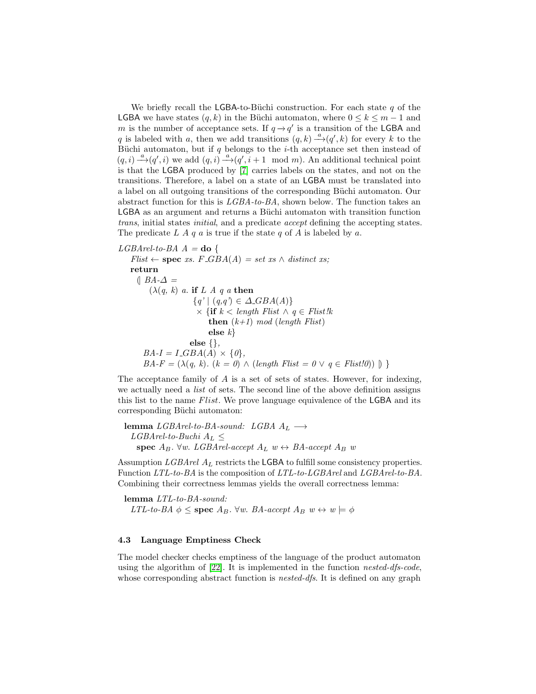We briefly recall the LGBA-to-Büchi construction. For each state  $q$  of the **LGBA** we have states  $(q, k)$  in the Büchi automaton, where  $0 \leq k \leq m-1$  and m is the number of acceptance sets. If  $q \rightarrow q'$  is a transition of the LGBA and q is labeled with a, then we add transitions  $(q, k) \stackrel{a}{\longrightarrow} (q', k)$  for every k to the Büchi automaton, but if  $q$  belongs to the *i*-th acceptance set then instead of  $(q, i) \stackrel{a}{\longrightarrow} (q', i)$  we add  $(q, i) \stackrel{a}{\longrightarrow} (q', i + 1 \mod m)$ . An additional technical point is that the LGBA produced by [\[7\]](#page-15-1) carries labels on the states, and not on the transitions. Therefore, a label on a state of an LGBA must be translated into a label on all outgoing transitions of the corresponding Büchi automaton. Our abstract function for this is LGBA-to-BA, shown below. The function takes an LGBA as an argument and returns a Büchi automaton with transition function trans, initial states initial, and a predicate accept defining the accepting states. The predicate L A q a is true if the state q of A is labeled by a.

 $LGBA$ rel-to-BA  $A =$ do {  $Flist \leftarrow \textbf{spec} \; xs. \; F \cdot \textbf{GBA}(A) = set \; xs \wedge \textbf{distinct} \; xs;$ return  $(ABA-\Delta)$  $(\lambda(q, k)$  a. if L A q a then  ${q' | (q,q') \in \Delta \text{.GBA}(A)}$  $\times$  {if  $k$  < length Flist  $\wedge$   $q \in$  Flist!k then  $(k+1) \mod (length \; Flist)$ else  $k$ } else  $\{\},\$  $BA-I = I\_GBA(A) \times \{0\},$  $BA-F = (\lambda(q, k), (k = 0) \wedge (length\, Flist = 0 \vee q \in \text{Flist!0})) \parallel$ 

The acceptance family of A is a set of sets of states. However, for indexing, we actually need a *list* of sets. The second line of the above definition assigns this list to the name Flist. We prove language equivalence of the LGBA and its corresponding Büchi automaton:

lemma  $LGBA$ rel-to-BA-sound:  $LGBA$   $A_L \longrightarrow$  $LGBA$ rel-to-Buchi  $A_L \leq$ spec  $A_B$ .  $\forall w$ . LGBArel-accept  $A_L$  w  $\leftrightarrow$  BA-accept  $A_B$  w

Assumption  $LGBArel$   $A_L$  restricts the LGBA to fulfill some consistency properties. Function LTL-to-BA is the composition of LTL-to-LGBArel and LGBArel-to-BA. Combining their correctness lemmas yields the overall correctness lemma:

lemma LTL-to-BA-sound: LTL-to-BA  $\phi \leq$  spec  $A_B$ .  $\forall w$ . BA-accept  $A_B$   $w \leftrightarrow w \models \phi$ 

## 4.3 Language Emptiness Check

The model checker checks emptiness of the language of the product automaton using the algorithm of [\[22\]](#page-15-3). It is implemented in the function nested-dfs-code, whose corresponding abstract function is *nested-dfs*. It is defined on any graph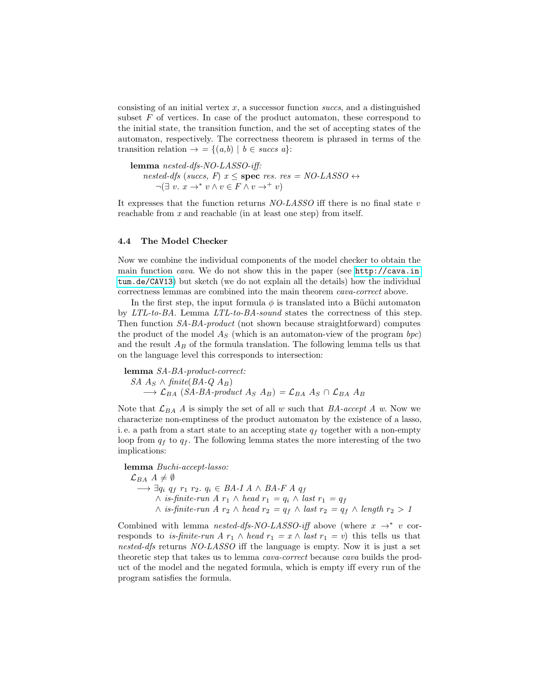consisting of an initial vertex  $x$ , a successor function succs, and a distinguished subset  $F$  of vertices. In case of the product automaton, these correspond to the initial state, the transition function, and the set of accepting states of the automaton, respectively. The correctness theorem is phrased in terms of the transition relation  $\rightarrow$  = {(a,b) | b  $\in$  succs a}:

lemma nested-dfs-NO-LASSO-iff: nested-dfs (succs, F)  $x \le$  spec res. res = NO-LASSO  $\leftrightarrow$  $\neg \left( \exists v. x \rightarrow^* v \land v \in F \land v \rightarrow^+ v \right)$ 

It expresses that the function returns  $NO\text{-}LASSO$  iff there is no final state v reachable from x and reachable (in at least one step) from itself.

## 4.4 The Model Checker

Now we combine the individual components of the model checker to obtain the main function cava. We do not show this in the paper (see [http://cava.in.](http://cava.in.tum.de/CAV13) [tum.de/CAV13](http://cava.in.tum.de/CAV13)) but sketch (we do not explain all the details) how the individual correctness lemmas are combined into the main theorem cava-correct above.

In the first step, the input formula  $\phi$  is translated into a Büchi automaton by LTL-to-BA. Lemma LTL-to-BA-sound states the correctness of this step. Then function SA-BA-product (not shown because straightforward) computes the product of the model  $A<sub>S</sub>$  (which is an automaton-view of the program  $bpc$ ) and the result  $A_B$  of the formula translation. The following lemma tells us that on the language level this corresponds to intersection:

lemma SA-BA-product-correct: SA  $A_S \wedge \text{finite}(BA-Q \cdot A_B)$  $\rightarrow$   $\mathcal{L}_{BA}$  (SA-BA-product A<sub>S</sub> A<sub>B</sub>) =  $\mathcal{L}_{BA}$  A<sub>S</sub>  $\cap$   $\mathcal{L}_{BA}$  A<sub>B</sub>

Note that  $\mathcal{L}_{BA}$  A is simply the set of all w such that BA-accept A w. Now we characterize non-emptiness of the product automaton by the existence of a lasso, i. e. a path from a start state to an accepting state  $q_f$  together with a non-empty loop from  $q_f$  to  $q_f$ . The following lemma states the more interesting of the two implications:

lemma Buchi-accept-lasso:

 $\mathcal{L}_{BA}$   $A \neq \emptyset$  $\longrightarrow \exists q_i \ q_f \ r_1 \ r_2 \ r_i \in BA-I \ A \land BA-F \ A \ q_f$  $\wedge$  is-finite-run A r<sub>1</sub> ∧ head r<sub>1</sub> = q<sub>i</sub> ∧ last r<sub>1</sub> = q<sub>f</sub>  $\wedge$  is-finite-run A r<sub>2</sub>  $\wedge$  head r<sub>2</sub> = q<sub>f</sub>  $\wedge$  last r<sub>2</sub> = q<sub>f</sub>  $\wedge$  length r<sub>2</sub> > 1

Combined with lemma nested-dfs-NO-LASSO-iff above (where  $x \rightarrow^* v$  corresponds to *is-finite-run A*  $r_1 \wedge$  *head*  $r_1 = x \wedge$  *last*  $r_1 = v$  this tells us that nested-dfs returns NO-LASSO iff the language is empty. Now it is just a set theoretic step that takes us to lemma cava-correct because cava builds the product of the model and the negated formula, which is empty iff every run of the program satisfies the formula.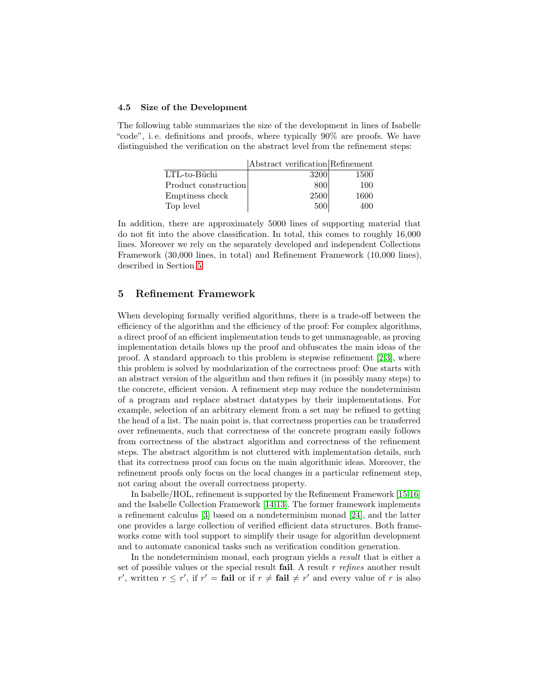### 4.5 Size of the Development

The following table summarizes the size of the development in lines of Isabelle "code", i. e. definitions and proofs, where typically 90% are proofs. We have distinguished the verification on the abstract level from the refinement steps:

|                      | Abstract verification Refinement |      |
|----------------------|----------------------------------|------|
| LTL-to-Büchi         | 3200                             | 1500 |
| Product construction | 800                              | 100  |
| Emptiness check      | 2500                             | 1600 |
| Top level            | 500                              | 400  |

In addition, there are approximately 5000 lines of supporting material that do not fit into the above classification. In total, this comes to roughly 16,000 lines. Moreover we rely on the separately developed and independent Collections Framework (30,000 lines, in total) and Refinement Framework (10,000 lines), described in Section [5.](#page-8-0)

# <span id="page-8-0"></span>5 Refinement Framework

When developing formally verified algorithms, there is a trade-off between the efficiency of the algorithm and the efficiency of the proof: For complex algorithms, a direct proof of an efficient implementation tends to get unmanageable, as proving implementation details blows up the proof and obfuscates the main ideas of the proof. A standard approach to this problem is stepwise refinement  $[2,3]$  $[2,3]$ , where this problem is solved by modularization of the correctness proof: One starts with an abstract version of the algorithm and then refines it (in possibly many steps) to the concrete, efficient version. A refinement step may reduce the nondeterminism of a program and replace abstract datatypes by their implementations. For example, selection of an arbitrary element from a set may be refined to getting the head of a list. The main point is, that correctness properties can be transferred over refinements, such that correctness of the concrete program easily follows from correctness of the abstract algorithm and correctness of the refinement steps. The abstract algorithm is not cluttered with implementation details, such that its correctness proof can focus on the main algorithmic ideas. Moreover, the refinement proofs only focus on the local changes in a particular refinement step, not caring about the overall correctness property.

In Isabelle/HOL, refinement is supported by the Refinement Framework [\[15](#page-15-13)[,16\]](#page-15-5) and the Isabelle Collection Framework [\[14,](#page-15-15)[13\]](#page-15-4). The former framework implements a refinement calculus [\[3\]](#page-14-3) based on a nondeterminism monad [\[24\]](#page-15-16), and the latter one provides a large collection of verified efficient data structures. Both frameworks come with tool support to simplify their usage for algorithm development and to automate canonical tasks such as verification condition generation.

In the nondeterminism monad, each program yields a result that is either a set of possible values or the special result fail. A result  $r$  refines another result r', written  $r \leq r'$ , if  $r' = \text{fail}$  or if  $r \neq \text{fail} \neq r'$  and every value of r is also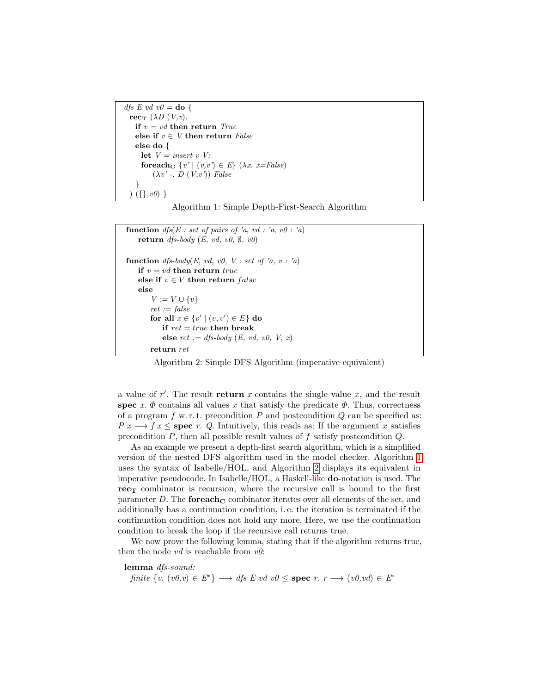```
dfs E vd v0 =do {
 rec<sub>T</sub> (λD (V,v).
   if v = vd then return True
    else if v \in V then return False
    else do {
     let V = insert v V;foreach<sub>c</sub> \{v' \mid (v,v') \in E\} (\lambda x. x = False)
         (\lambda v' - D (V, v')) False
    }
 ) ({}, v0) }
```


```
function dfs(E : set of pairs of 'a, vd : 'a, v0 : 'a)return dfs-body (E, vd, v0, \emptyset, v0)
function dfs-body(E, vd, v0, V: set of 'a, v : 'a)if v = vd then return true
   else if v \in V then return falseelse
        V := V \cup \{v\}ret := falsefor all x \in \{v' \mid (v, v') \in E\} do
           if ret = true then break
           else ret := dfs \cdot body (E, vd, v0, V, x)return ret
```
Algorithm 2: Simple DFS Algorithm (imperative equivalent)

a value of  $r'$ . The result return x contains the single value x, and the result spec x.  $\Phi$  contains all values x that satisfy the predicate  $\Phi$ . Thus, correctness of a program f w.r.t. precondition  $P$  and postcondition  $Q$  can be specified as:  $P x \longrightarrow f x \leq$  spec r. Q. Intuitively, this reads as: If the argument x satisfies precondition  $P$ , then all possible result values of  $f$  satisfy postcondition  $Q$ .

As an example we present a depth-first search algorithm, which is a simplified version of the nested DFS algorithm used in the model checker. Algorithm [1](#page-9-0) uses the syntax of Isabelle/HOL, and Algorithm [2](#page-9-1) displays its equivalent in imperative pseudocode. In Isabelle/HOL, a Haskell-like do-notation is used. The  $rec<sub>T</sub>$  combinator is recursion, where the recursive call is bound to the first parameter D. The **foreach**<sub>C</sub> combinator iterates over all elements of the set, and additionally has a continuation condition, i. e. the iteration is terminated if the continuation condition does not hold any more. Here, we use the continuation condition to break the loop if the recursive call returns true.

We now prove the following lemma, stating that if the algorithm returns true, then the node  $vd$  is reachable from  $v\theta$ :

#### lemma dfs-sound:

finite  $\{v. (v0,v) \in E^*\}\longrightarrow dfs \ E \ v d \ v0 \le \text{spec } r. \ r \longrightarrow (v0, vd) \in E^*$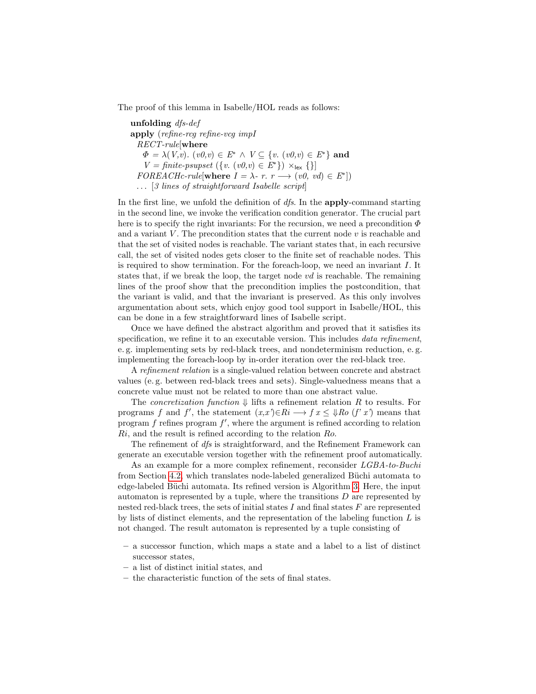The proof of this lemma in Isabelle/HOL reads as follows:

unfolding dfs-def apply (refine-rcg refine-vcg impI RECT-rule[where  $\Phi = \lambda(V, v)$ .  $(v\theta, v) \in E^* \wedge V \subseteq \{v. (v\theta, v) \in E^*\}$  and  $V = finite\text{-}psupset (\{v. (v0,v) \in E^*\}) \times_{\text{lex}} \{\}]$  $FOREACHc-rule[where I = \lambda - r. r \longrightarrow (v0, vd) \in E^*])$ . . . [3 lines of straightforward Isabelle script]

In the first line, we unfold the definition of  $df_s$ . In the **apply-command** starting in the second line, we invoke the verification condition generator. The crucial part here is to specify the right invariants: For the recursion, we need a precondition  $\Phi$ and a variant  $V$ . The precondition states that the current node  $v$  is reachable and that the set of visited nodes is reachable. The variant states that, in each recursive call, the set of visited nodes gets closer to the finite set of reachable nodes. This is required to show termination. For the foreach-loop, we need an invariant I. It states that, if we break the loop, the target node  $vd$  is reachable. The remaining lines of the proof show that the precondition implies the postcondition, that the variant is valid, and that the invariant is preserved. As this only involves argumentation about sets, which enjoy good tool support in Isabelle/HOL, this can be done in a few straightforward lines of Isabelle script.

Once we have defined the abstract algorithm and proved that it satisfies its specification, we refine it to an executable version. This includes *data refinement*, e. g. implementing sets by red-black trees, and nondeterminism reduction, e. g. implementing the foreach-loop by in-order iteration over the red-black tree.

A refinement relation is a single-valued relation between concrete and abstract values (e. g. between red-black trees and sets). Single-valuedness means that a concrete value must not be related to more than one abstract value.

The *concretization function*  $\Downarrow$  lifts a refinement relation R to results. For programs f and f', the statement  $(x,x)\in Ri \longrightarrow fx \subseteq \mathcal{A}$  (f' x') means that program  $f$  refines program  $f'$ , where the argument is refined according to relation Ri, and the result is refined according to the relation Ro.

The refinement of *dfs* is straightforward, and the Refinement Framework can generate an executable version together with the refinement proof automatically.

As an example for a more complex refinement, reconsider  $LGBA-to-Buchi$ from Section [4.2,](#page-5-0) which translates node-labeled generalized Büchi automata to edge-labeled Büchi automata. Its refined version is Algorithm [3.](#page-11-0) Here, the input automaton is represented by a tuple, where the transitions  $D$  are represented by nested red-black trees, the sets of initial states  $I$  and final states  $F$  are represented by lists of distinct elements, and the representation of the labeling function  $L$  is not changed. The result automaton is represented by a tuple consisting of

- a successor function, which maps a state and a label to a list of distinct successor states,
- a list of distinct initial states, and
- the characteristic function of the sets of final states.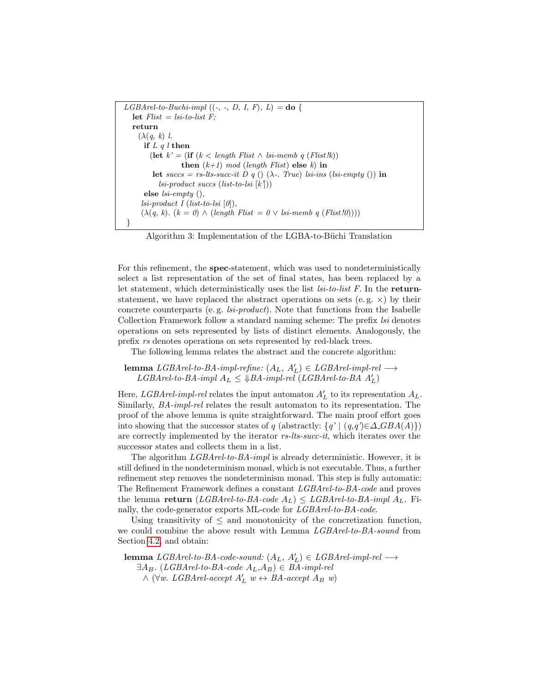```
LGBArel-to-Buchi-impl ((-, -, D, I, F), L) =do {
   let Flist = Isi-to-list F;return
     (\lambda(q, k) l.if L q l then
          (let k' = (\text{if } (k < \text{length } \text{First } \wedge \text{ is } i\text{-\text{memb } q \text{ (First } !k)))
                      then (k+1) \mod (length \; Flist) else k) in
          let succs = rs-lts-succ-it D q () (\lambda-. True) lsi-ins (lsi-empty ()) in
             lsi-product succs (list-to-lsi [k']))
       else lsi-empty(),
      lsi-product \, I \, (list-to-lsi \, [0]),(\lambda(q, k) \cdot (k = 0) \wedge (length \, Flist = 0 \vee Isi\text{-}memb \, q \, (Flist\text{!}0))))}
```
Algorithm 3: Implementation of the LGBA-to-Büchi Translation

For this refinement, the spec-statement, which was used to nondeterministically select a list representation of the set of final states, has been replaced by a let statement, which deterministically uses the list *lsi-to-list F*. In the returnstatement, we have replaced the abstract operations on sets (e.g.  $\times$ ) by their concrete counterparts (e.g.  $lsi$ -product). Note that functions from the Isabelle Collection Framework follow a standard naming scheme: The prefix lsi denotes operations on sets represented by lists of distinct elements. Analogously, the prefix rs denotes operations on sets represented by red-black trees.

The following lemma relates the abstract and the concrete algorithm:

lemma  $\textit{LGBA}$ rel-to-BA-impl-refine:  $(A_L, A_L') \in \textit{LGBA}$ rel-impl-rel  $\longrightarrow$  $\emph{LGBA}$ rel-to-BA-impl $A_L \leq \Downarrow$ BA-impl-rel (LGBArel-to-BA $A'_L)$ 

Here, LGBArel-impl-rel relates the input automaton  $A'_L$  to its representation  $A_L$ . Similarly, BA-impl-rel relates the result automaton to its representation. The proof of the above lemma is quite straightforward. The main proof effort goes into showing that the successor states of q (abstractly:  $\{q' | (q,q') \in \Delta \text{CBA}(A)\}\$ ) are correctly implemented by the iterator rs-lts-succ-it, which iterates over the successor states and collects them in a list.

The algorithm LGBArel-to-BA-impl is already deterministic. However, it is still defined in the nondeterminism monad, which is not executable. Thus, a further refinement step removes the nondeterminism monad. This step is fully automatic: The Refinement Framework defines a constant LGBArel-to-BA-code and proves the lemma return  $(LGBArel-to-BA-code A_L) \leq LGBArel-to-BA-impl A_L$ . Finally, the code-generator exports ML-code for LGBArel-to-BA-code.

Using transitivity of  $\leq$  and monotonicity of the concretization function, we could combine the above result with Lemma LGBArel-to-BA-sound from Section [4.2,](#page-5-0) and obtain:

lemma  $\textit{LGBA}$ rel-to-BA-code-sound:  $(A_L, A_L') \in \textit{LGBA}$ rel-impl-rel  $\longrightarrow$  $\exists A_B$ . (LGBArel-to-BA-code  $A_L$ , $A_B$ )  $\in$  BA-impl-rel  $\wedge$  (∀w. LGBArel-accept  $A'_L$  w  $\leftrightarrow$  BA-accept  $A_B$  w)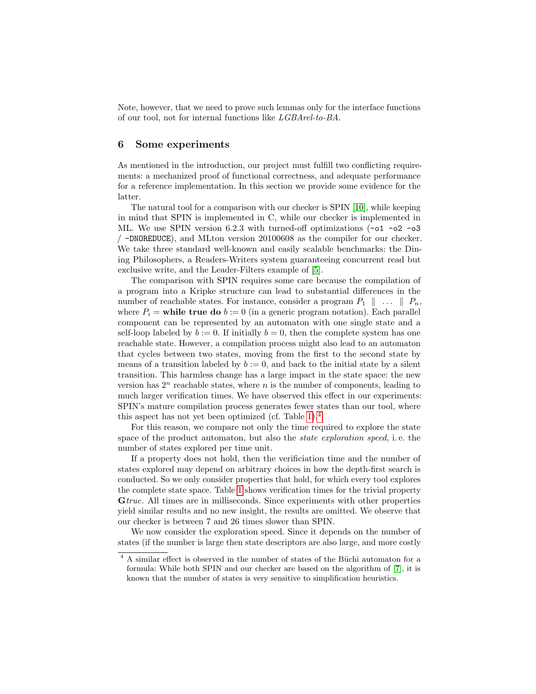Note, however, that we need to prove such lemmas only for the interface functions of our tool, not for internal functions like LGBArel-to-BA.

# 6 Some experiments

As mentioned in the introduction, our project must fulfill two conflicting requirements: a mechanized proof of functional correctness, and adequate performance for a reference implementation. In this section we provide some evidence for the latter.

The natural tool for a comparison with our checker is SPIN [\[10\]](#page-15-0), while keeping in mind that SPIN is implemented in C, while our checker is implemented in ML. We use SPIN version 6.2.3 with turned-off optimizations  $(-01 -02 -03$ / -DNOREDUCE), and MLton version 20100608 as the compiler for our checker. We take three standard well-known and easily scalable benchmarks: the Dining Philosophers, a Readers-Writers system guaranteeing concurrent read but exclusive write, and the Leader-Filters example of [\[5\]](#page-15-17).

The comparison with SPIN requires some care because the compilation of a program into a Kripke structure can lead to substantial differences in the number of reachable states. For instance, consider a program  $P_1 \parallel \ldots \parallel P_n$ , where  $P_i =$  while true do  $b := 0$  (in a generic program notation). Each parallel component can be represented by an automaton with one single state and a self-loop labeled by  $b := 0$ . If initially  $b = 0$ , then the complete system has one reachable state. However, a compilation process might also lead to an automaton that cycles between two states, moving from the first to the second state by means of a transition labeled by  $b := 0$ , and back to the initial state by a silent transition. This harmless change has a large impact in the state space: the new version has  $2^n$  reachable states, where n is the number of components, leading to much larger verification times. We have observed this effect in our experiments: SPIN's mature compilation process generates fewer states than our tool, where this aspect has not yet been optimized (cf. Table [1\)](#page-13-0).<sup>[4](#page-12-0)</sup>

For this reason, we compare not only the time required to explore the state space of the product automaton, but also the *state exploration speed*, i.e. the number of states explored per time unit.

If a property does not hold, then the verificiation time and the number of states explored may depend on arbitrary choices in how the depth-first search is conducted. So we only consider properties that hold, for which every tool explores the complete state space. Table [1](#page-13-0) shows verification times for the trivial property Gtrue. All times are in milliseconds. Since experiments with other properties yield similar results and no new insight, the results are omitted. We observe that our checker is between 7 and 26 times slower than SPIN.

We now consider the exploration speed. Since it depends on the number of states (if the number is large then state descriptors are also large, and more costly

<span id="page-12-0"></span> $^4$  A similar effect is observed in the number of states of the Büchi automaton for a formula: While both SPIN and our checker are based on the algorithm of [\[7\]](#page-15-1), it is known that the number of states is very sensitive to simplification heuristics.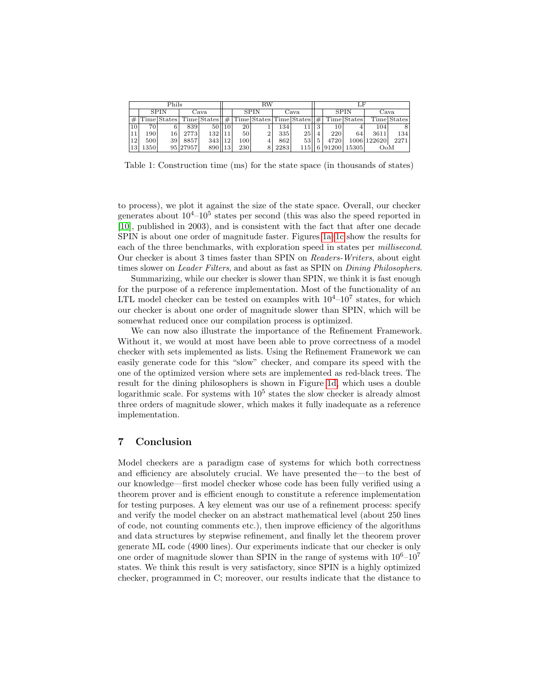<span id="page-13-0"></span>

| Phils |           |                     |    |          |             |       | RW              |   |      |                                                                       | LF |            |                         |                  |             |
|-------|-----------|---------------------|----|----------|-------------|-------|-----------------|---|------|-----------------------------------------------------------------------|----|------------|-------------------------|------------------|-------------|
|       |           | <b>SPIN</b><br>Cava |    |          | <b>SPIN</b> |       | Cava            |   |      | <b>SPIN</b>                                                           |    | Cava       |                         |                  |             |
|       |           |                     |    |          |             |       |                 |   |      | # Time States Time States   # Time States Time States   # Time States |    |            |                         |                  | Time States |
|       | <b>10</b> | 70 <sub>1</sub>     | 6  | 839      |             | 50 10 | 20 <sub>1</sub> |   | 134  |                                                                       | -3 | 10         |                         | 104              | 8           |
|       | 11        | 190                 | 16 | 2773     | 132   11    |       | 50 <sup>1</sup> |   | 335  | 25                                                                    |    | <b>220</b> | 64                      | 3611             | 134         |
|       | 12        | 500                 | 39 | 8857     | 343  12     |       | 100             | 4 | 862  | 53 II                                                                 | 5. | 4720       |                         | 1006 122620      | 2271        |
|       |           | 13 1350             |    | 95 27957 | 890   13    |       | 230             | 8 | 2283 |                                                                       |    |            | 115   6   91200   15305 | O <sub>o</sub> M |             |

Table 1: Construction time (ms) for the state space (in thousands of states)

to process), we plot it against the size of the state space. Overall, our checker generates about  $10^4$ - $10^5$  states per second (this was also the speed reported in [\[10\]](#page-15-0), published in 2003), and is consistent with the fact that after one decade SPIN is about one order of magnitude faster. Figures [1a–1c](#page-14-4) show the results for each of the three benchmarks, with exploration speed in states per millisecond. Our checker is about 3 times faster than SPIN on Readers-Writers, about eight times slower on *Leader Filters*, and about as fast as SPIN on *Dining Philosophers*.

Summarizing, while our checker is slower than SPIN, we think it is fast enough for the purpose of a reference implementation. Most of the functionality of an LTL model checker can be tested on examples with  $10^4-10^7$  states, for which our checker is about one order of magnitude slower than SPIN, which will be somewhat reduced once our compilation process is optimized.

We can now also illustrate the importance of the Refinement Framework. Without it, we would at most have been able to prove correctness of a model checker with sets implemented as lists. Using the Refinement Framework we can easily generate code for this "slow" checker, and compare its speed with the one of the optimized version where sets are implemented as red-black trees. The result for the dining philosophers is shown in Figure [1d,](#page-14-4) which uses a double logarithmic scale. For systems with  $10^5$  states the slow checker is already almost three orders of magnitude slower, which makes it fully inadequate as a reference implementation.

# 7 Conclusion

Model checkers are a paradigm case of systems for which both correctness and efficiency are absolutely crucial. We have presented the—to the best of our knowledge—first model checker whose code has been fully verified using a theorem prover and is efficient enough to constitute a reference implementation for testing purposes. A key element was our use of a refinement process: specify and verify the model checker on an abstract mathematical level (about 250 lines of code, not counting comments etc.), then improve efficiency of the algorithms and data structures by stepwise refinement, and finally let the theorem prover generate ML code (4900 lines). Our experiments indicate that our checker is only one order of magnitude slower than SPIN in the range of systems with  $10^6$ – $10^7$ states. We think this result is very satisfactory, since SPIN is a highly optimized checker, programmed in C; moreover, our results indicate that the distance to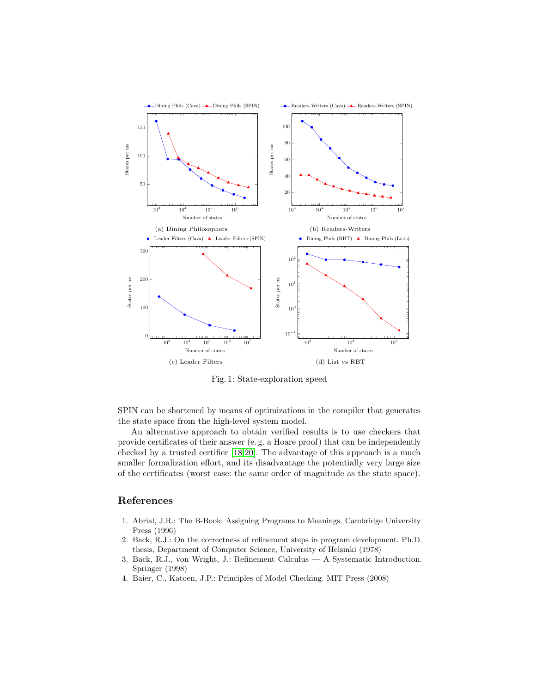<span id="page-14-4"></span>

Fig. 1: State-exploration speed

SPIN can be shortened by means of optimizations in the compiler that generates the state space from the high-level system model.

An alternative approach to obtain verified results is to use checkers that provide certificates of their answer (e. g. a Hoare proof) that can be independently checked by a trusted certifier [\[18,](#page-15-18)[20\]](#page-15-19). The advantage of this approach is a much smaller formalization effort, and its disadvantage the potentially very large size of the certificates (worst case: the same order of magnitude as the state space).

# References

- <span id="page-14-0"></span>1. Abrial, J.R.: The B-Book: Assigning Programs to Meanings. Cambridge University Press (1996)
- <span id="page-14-2"></span>2. Back, R.J.: On the correctness of refinement steps in program development. Ph.D. thesis, Department of Computer Science, University of Helsinki (1978)
- <span id="page-14-3"></span>3. Back, R.J., von Wright, J.: Refinement Calculus — A Systematic Introduction. Springer (1998)
- <span id="page-14-1"></span>4. Baier, C., Katoen, J.P.: Principles of Model Checking. MIT Press (2008)